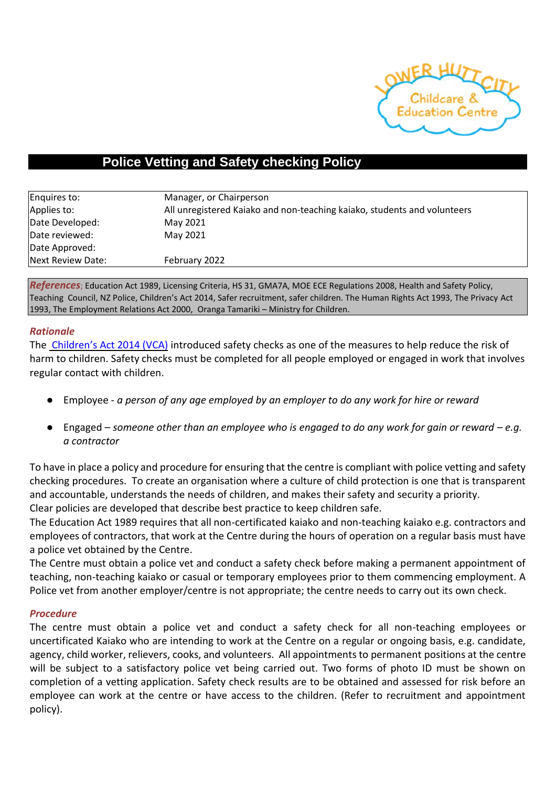

# **Police Vetting and Safety checking Policy**

| Enquires to:      | Manager, or Chairperson                                                  |  |  |
|-------------------|--------------------------------------------------------------------------|--|--|
| Applies to:       | All unregistered Kaiako and non-teaching kaiako, students and volunteers |  |  |
| Date Developed:   | May 2021                                                                 |  |  |
| Date reviewed:    | May 2021                                                                 |  |  |
| Date Approved:    |                                                                          |  |  |
| Next Review Date: | February 2022                                                            |  |  |

*References*; Education Act 1989, Licensing Criteria, HS 31, GMA7A, MOE ECE Regulations 2008, Health and Safety Policy, Teaching Council, NZ Police, Children's Act 2014, Safer recruitment, safer children. The Human Rights Act 1993, The Privacy Act 1993, The Employment Relations Act 2000, Oranga Tamariki – Ministry for Children.

#### *Rationale*

The Children's [Act 2014 \(VCA\)](http://www.legislation.govt.nz/act/public/2014/0040/latest/whole.html) introduced safety checks as one of the measures to help reduce the risk of harm to children. Safety checks must be completed for all people employed or engaged in work that involves regular contact with children.

- Employee *a person of any age employed by an employer to do any work for hire or reward*
- Engaged *someone other than an employee who is engaged to do any work for gain or reward e.g. a contractor*

To have in place a policy and procedure for ensuring that the centre is compliant with police vetting and safety checking procedures. To create an organisation where a culture of child protection is one that is transparent and accountable, understands the needs of children, and makes their safety and security a priority. Clear policies are developed that describe best practice to keep children safe.

The Education Act 1989 requires that all non-certificated kaiako and non-teaching kaiako e.g. contractors and employees of contractors, that work at the Centre during the hours of operation on a regular basis must have a police vet obtained by the Centre.

The Centre must obtain a police vet and conduct a safety check before making a permanent appointment of teaching, non-teaching kaiako or casual or temporary employees prior to them commencing employment. A Police vet from another employer/centre is not appropriate; the centre needs to carry out its own check.

#### *Procedure*

The centre must obtain a police vet and conduct a safety check for all non-teaching employees or uncertificated Kaiako who are intending to work at the Centre on a regular or ongoing basis, e.g. candidate, agency, child worker, relievers, cooks, and volunteers. All appointments to permanent positions at the centre will be subject to a satisfactory police vet being carried out. Two forms of photo ID must be shown on completion of a vetting application. Safety check results are to be obtained and assessed for risk before an employee can work at the centre or have access to the children. (Refer to recruitment and appointment policy).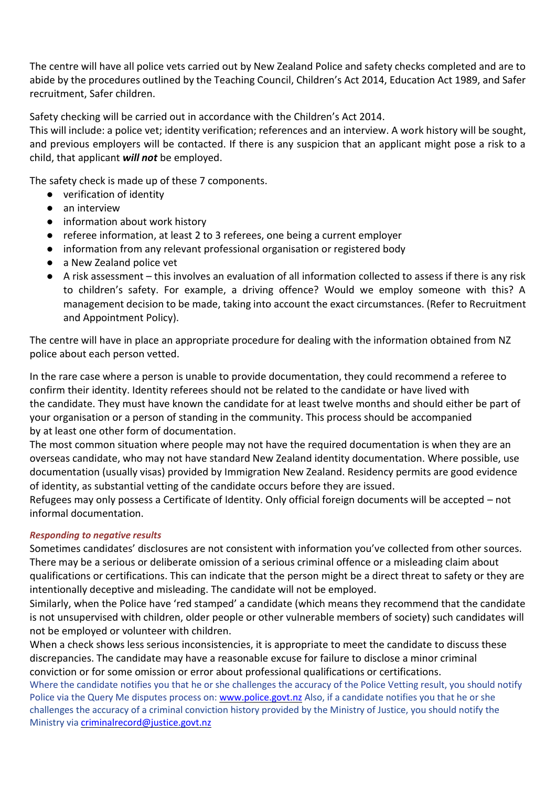The centre will have all police vets carried out by New Zealand Police and safety checks completed and are to abide by the procedures outlined by the Teaching Council, Children's Act 2014, Education Act 1989, and Safer recruitment, Safer children.

Safety checking will be carried out in accordance with the Children's Act 2014.

This will include: a police vet; identity verification; references and an interview. A work history will be sought, and previous employers will be contacted. If there is any suspicion that an applicant might pose a risk to a child, that applicant *will not* be employed.

The safety check is made up of these 7 components.

- verification of identity
- an interview
- information about work history
- referee information, at least 2 to 3 referees, one being a current employer
- information from any relevant professional organisation or registered body
- a New Zealand police vet
- A risk assessment this involves an evaluation of all information collected to assess if there is any risk to children's safety. For example, a driving offence? Would we employ someone with this? A management decision to be made, taking into account the exact circumstances. (Refer to Recruitment and Appointment Policy).

The centre will have in place an appropriate procedure for dealing with the information obtained from NZ police about each person vetted.

In the rare case where a person is unable to provide documentation, they could recommend a referee to confirm their identity. Identity referees should not be related to the candidate or have lived with the candidate. They must have known the candidate for at least twelve months and should either be part of your organisation or a person of standing in the community. This process should be accompanied by at least one other form of documentation.

The most common situation where people may not have the required documentation is when they are an overseas candidate, who may not have standard New Zealand identity documentation. Where possible, use documentation (usually visas) provided by Immigration New Zealand. Residency permits are good evidence of identity, as substantial vetting of the candidate occurs before they are issued.

Refugees may only possess a Certificate of Identity. Only official foreign documents will be accepted – not informal documentation.

## *Responding to negative results*

Sometimes candidates' disclosures are not consistent with information you've collected from other sources. There may be a serious or deliberate omission of a serious criminal offence or a misleading claim about qualifications or certifications. This can indicate that the person might be a direct threat to safety or they are intentionally deceptive and misleading. The candidate will not be employed.

Similarly, when the Police have 'red stamped' a candidate (which means they recommend that the candidate is not unsupervised with children, older people or other vulnerable members of society) such candidates will not be employed or volunteer with children.

When a check shows less serious inconsistencies, it is appropriate to meet the candidate to discuss these discrepancies. The candidate may have a reasonable excuse for failure to disclose a minor criminal conviction or for some omission or error about professional qualifications or certifications.

Where the candidate notifies you that he or she challenges the accuracy of the Police Vetting result, you should notify Police via the Query Me disputes process on: [www.police.govt.nz](http://www.police.govt.nz/) Also, if a candidate notifies you that he or she challenges the accuracy of a criminal conviction history provided by the Ministry of Justice, you should notify the Ministry vi[a criminalrecord@justice.govt.nz](mailto:criminalrecord@justice.govt.nz)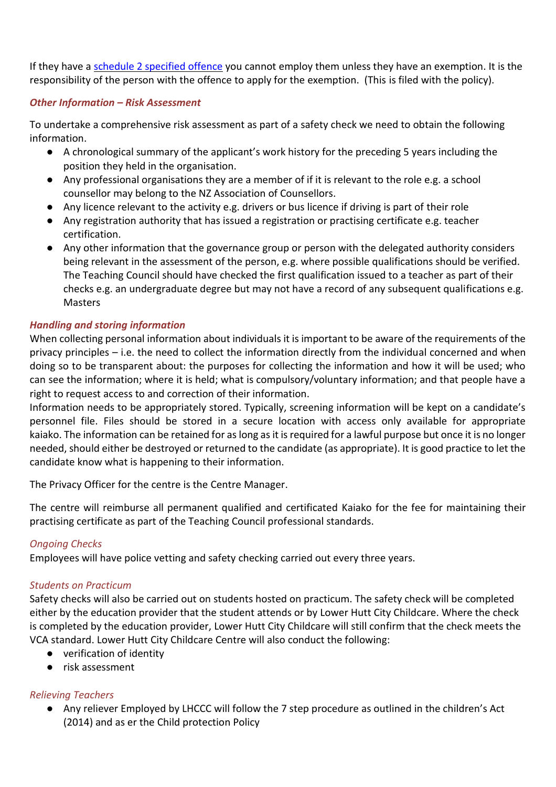If they have a [schedule 2 specified offence](http://www.legislation.govt.nz/act/public/2014/0040/latest/whole.html#DLM5501909) you cannot employ them unless they have an exemption. It is the responsibility of the person with the offence to apply for the exemption. (This is filed with the policy).

#### *Other Information – Risk Assessment*

To undertake a comprehensive risk assessment as part of a safety check we need to obtain the following information.

- A chronological summary of the applicant's work history for the preceding 5 years including the position they held in the organisation.
- Any professional organisations they are a member of if it is relevant to the role e.g. a school counsellor may belong to the NZ Association of Counsellors.
- Any licence relevant to the activity e.g. drivers or bus licence if driving is part of their role
- Any registration authority that has issued a registration or practising certificate e.g. teacher certification.
- Any other information that the governance group or person with the delegated authority considers being relevant in the assessment of the person, e.g. where possible qualifications should be verified. The Teaching Council should have checked the first qualification issued to a teacher as part of their checks e.g. an undergraduate degree but may not have a record of any subsequent qualifications e.g. Masters

## *Handling and storing information*

When collecting personal information about individuals it is important to be aware of the requirements of the privacy principles – i.e. the need to collect the information directly from the individual concerned and when doing so to be transparent about: the purposes for collecting the information and how it will be used; who can see the information; where it is held; what is compulsory/voluntary information; and that people have a right to request access to and correction of their information.

Information needs to be appropriately stored. Typically, screening information will be kept on a candidate's personnel file. Files should be stored in a secure location with access only available for appropriate kaiako. The information can be retained for as long as it is required for a lawful purpose but once it is no longer needed, should either be destroyed or returned to the candidate (as appropriate). It is good practice to let the candidate know what is happening to their information.

The Privacy Officer for the centre is the Centre Manager.

The centre will reimburse all permanent qualified and certificated Kaiako for the fee for maintaining their practising certificate as part of the Teaching Council professional standards.

## *Ongoing Checks*

Employees will have police vetting and safety checking carried out every three years.

## *Students on Practicum*

Safety checks will also be carried out on students hosted on practicum. The safety check will be completed either by the education provider that the student attends or by Lower Hutt City Childcare. Where the check is completed by the education provider, Lower Hutt City Childcare will still confirm that the check meets the VCA standard. Lower Hutt City Childcare Centre will also conduct the following:

- verification of identity
- risk assessment

## *Relieving Teachers*

● Any reliever Employed by LHCCC will follow the 7 step procedure as outlined in the children's Act (2014) and as er the Child protection Policy